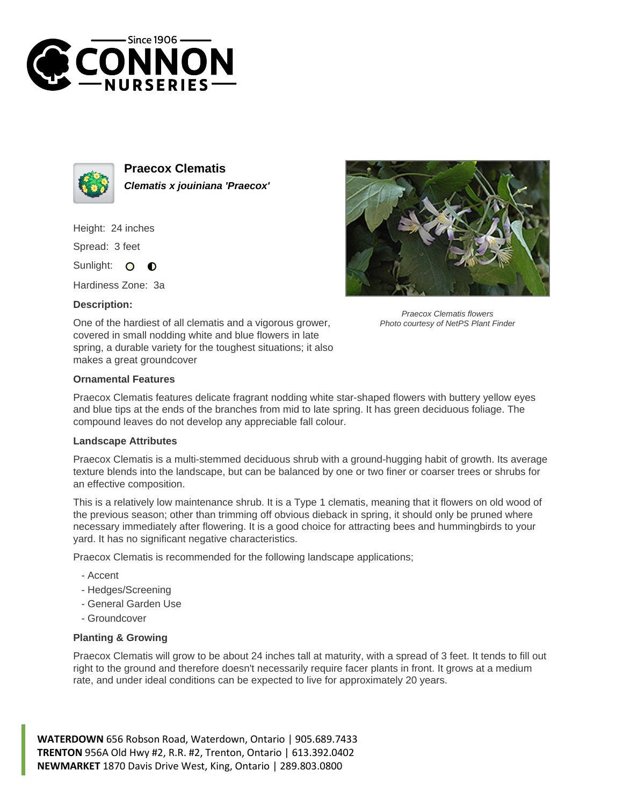



**Praecox Clematis Clematis x jouiniana 'Praecox'**

Height: 24 inches

Spread: 3 feet

Sunlight: 0  $\bullet$ 

Hardiness Zone: 3a

## **Description:**



Praecox Clematis flowers Photo courtesy of NetPS Plant Finder

One of the hardiest of all clematis and a vigorous grower, covered in small nodding white and blue flowers in late spring, a durable variety for the toughest situations; it also makes a great groundcover

## **Ornamental Features**

Praecox Clematis features delicate fragrant nodding white star-shaped flowers with buttery yellow eyes and blue tips at the ends of the branches from mid to late spring. It has green deciduous foliage. The compound leaves do not develop any appreciable fall colour.

## **Landscape Attributes**

Praecox Clematis is a multi-stemmed deciduous shrub with a ground-hugging habit of growth. Its average texture blends into the landscape, but can be balanced by one or two finer or coarser trees or shrubs for an effective composition.

This is a relatively low maintenance shrub. It is a Type 1 clematis, meaning that it flowers on old wood of the previous season; other than trimming off obvious dieback in spring, it should only be pruned where necessary immediately after flowering. It is a good choice for attracting bees and hummingbirds to your yard. It has no significant negative characteristics.

Praecox Clematis is recommended for the following landscape applications;

- Accent
- Hedges/Screening
- General Garden Use
- Groundcover

## **Planting & Growing**

Praecox Clematis will grow to be about 24 inches tall at maturity, with a spread of 3 feet. It tends to fill out right to the ground and therefore doesn't necessarily require facer plants in front. It grows at a medium rate, and under ideal conditions can be expected to live for approximately 20 years.

**WATERDOWN** 656 Robson Road, Waterdown, Ontario | 905.689.7433 **TRENTON** 956A Old Hwy #2, R.R. #2, Trenton, Ontario | 613.392.0402 **NEWMARKET** 1870 Davis Drive West, King, Ontario | 289.803.0800